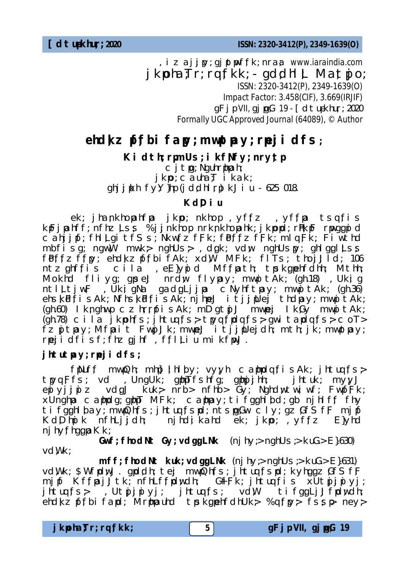**[dtup-khu ;r ; 2020** *ISSN: 2320-3412(P), 2349-1639(O)*

*,izaj;jpy; gjptpwf ;fk; nra;a www.iaraindia.com*   $i$  kpoha;Tr; rq;fkk;  $\cdot$  gd;dhl;L Ma;t $\nu$ jo; *ISSN: 2320-3412(P), 2349-1639(O) Impact Factor: 3.458(CIF), 3.669(IRJIF)*  gFjp VII*,* gjpg;G 19 *-* [dtup-khu;r ; 2020 *Formally UGC Approved Journal (64089),* © *Author*

## ehdkz pf;fbi fapy; mwptpay; rpejidfs;

Ki dth; rpmUs; i kfNfy; nrytp

 $c$  j t $pq$ ; Nguhr $p$ nah; j kpo; cauha; $T$  i kak; ghjjpkh fy $Y$ }hp (jddhlrp) kJiu - 625 018.

## **KdDiu**

ek; jhankhopahfpa jkpo; nkhop , yffz , yffpa tsqfis kpFjpahff; nfhz Lss %jjnkhop. nrknkhopahk; jkppd; rPhkpF rpwggpid  $\overline{C}$  ahjif; fhl $\overline{L}$ qitfSs; Nkw;fz fFk; fb $\overline{F}$ f $\overline{F}$ k; mlq  $\overline{F}$ k; Fi $\overline{W}$ thd mbfi sg; ngwW mwk> nghUs>, dgk; vdw nghUspy; ghlggl Lss fb ffz ffpy; ehd kz pffbi fAk; xdW MFk; flTs; thoj Jld; 106 ntz ghffis cila , eE}ypid Mffpath; tpsk gpehfdhh; Mthh; Mokhd fliyg; gpse;J nrdw flypay; mwnitAk; (gh.18), Ukig ntl Ltjw;F , UkiqNa gadgLjjpa cNyhftpay; mwpitAk; (gh.36) ehs;kid;fisAk; Nfhs;kid;fisAk; njhpe;J itj;jpUej thdpay; mwpitAk; (gh.60) Iknghwp czhrrpfisAk; mDgtpj;J mwpej IkGy mwpitAk;  $(qh.78)$  cila jkpohfs; jhtuq $fs$ ; tpyqfpdqfs; gwitapdqfs; coT>  $fz$  g t pay; Mfpait Fwg  $Jk$ ; mwpe;  $J$  it j  $j$  pUe idh; mth; jk; mwptpay; rpe;jidfisf; fhz;gjhf ,f;fl ;Liu mikfpwJ.

## jhtutpay; rpej i dfs;

 $f$ Nuff mwpQh; mhp];lhlby; vy;yh caphpdq $f$ isAk; jhtuq $f$ s $>$ tmgFfs; vd , UngUk; gphpTfshfg; gphyjhh; jhtuk; myyJ  $e\nparallel$  yijuiz vdgJ kuk nrb nfhb Gy; Nghdwtwiwf; FwpfFk;  $x$ Unghpa caphpdg; gphpT MFk; caphpay; ti fgghl bd; gb njhl ff fhy tifgghlbay; mwpQhfs; jhtuqfspd; ntspgGw cly; gz;GfSfF mjpf Kd  $D$ huik nfhLijdh; njhdikahd ek jkpo; yffz E}yhd  $n$ j hy; fhgg $n \times k$ ;

**Gwf; fhodNt Gy; vdggLNk** (nj hy;> nghUs;> kuG.> E}.630) vdWk:

**mff; fhodNt kuk; vdggLNk** (nj hy;> nghUs;> kuG.> E}.631) vd Wk; \$WfpdwJ. gpd ch; tej mwpOn fs; jhtuq fspd; kyh gg z GfSfF mjpf Kffpaj;Jtk; nfhLffpdwdh; GfFk; jhtuqfis xUtpjjpiyj; jhtuqfs; ,Ut $\mathfrak{y}$ jpiyj; jhtuqfs; vdW tifggLj;Jfpdwdh; ehdkz pffbi fapd; Mrphpauhd tpskgpehfdhUk; %qfpy; fssp ney;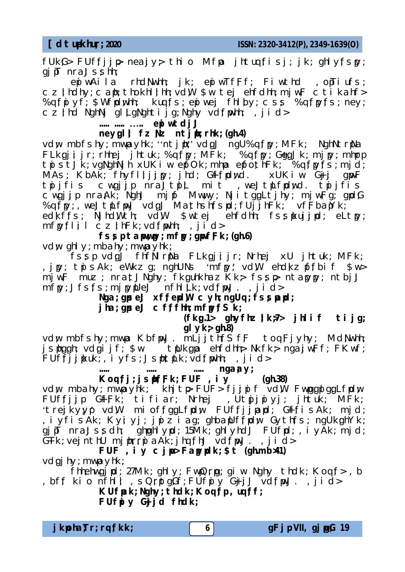**[dtup-khu ;r ; 2020** *ISSN: 2320-3412(P), 2349-1639(O)*

 $fUkG$  > FUffijp neajy thio Mfpa jhtuq fisj; jk; ghlyfspy;  $qi$  $\overline{p}$  nra $J$ s $\overline{s}$ hh;

epiwAila rhdNwhh; jk; epiwTfFf; Fiwthd , opTiufs;  $cz$ ; hdhy; can; thokhl; hh; vd $W$  \$w te;j ehfdhh; mj w $F$  cti kahf> %q  $f$  ivf;  $\frac{1}{2}$  with  $f$  is  $\frac{1}{2}$  is  $f$  is  $f$  is  $f$  is  $f$  is  $f$  is  $f$  is  $\frac{1}{2}$  is  $\frac{1}{2}$  is  $\frac{1}{2}$  is  $\frac{1}{2}$  is  $\frac{1}{2}$  is  $\frac{1}{2}$  is  $\frac{1}{2}$  is  $\frac{1}{2}$  is  $\frac{1}{2}$  is  $\frac{1}{2}$  is  $\$  $c$ zind NghNj gl LgNghtijg; Nghy vd fpwhh;, jid>

### **..... ..... ….. epiwtdj;J**

#### **neygli** fz  $Nz$  ntjph; rhk; (gh.4)

vdw mbfshy; mwpayhk; "ntjph" vdgJ ngU%qfpy; MFk; NghNtrpNa FLkgiijr; rhhei jhtuk; %qfpy; MFk; %qfpy; GggJk; mjpy; mhprp tnistJk vgNghNjh xUKiw epfOk; mhpa epfothFk; » %qfpyfs; mjd; MAs; KbAK; fhyfllijny; jhd; G+ffpdwd. xUKiw G+jj gpwF tpijfis cwgjį̃p nrãJtpl̃t mit ,we;JtpLfpdwd. tpijfis cwgijp nraAk; NghJ mjpf Mwwy; NjitggLtjhy; mjwFg; gpdG % $q$ f $p$ ;, we;Jt $p$ Lf $p$ J vd $qJ$  Mathsh  $f$ spd; fUj $j$ hFk; vf $F$ ba $p$ Yk; edkffs; NjhdWth; vdW \$wtej ehfdhh; fsspkujjpd; eLtpy;  $mfnyfli i czihFk; vdfwhh; jid>$ 

#### **fssp tapway; mfpy; gpwfFk; (gh.6)**

vdw ghly; mbahy; mwpayhk;

fssp vdgJ fhfNlrNa FLkgjijr; Nrhej xU jhtuk; MFk; ,  $j$   $p$ ; the sAk; eWkz q; nghUNs 'mfpy' vd W ehdkz  $\n *r*$  fbi f  $\sinh$ mjw;F muz; nra;tJNghy; fkguhkhazKk> fssp ntapypy; ntbj;J  $mf$ j, J $f$ s; $f$ s; mj $p$ y $pUe$ ;  $J$   $nfh$ l  $L$ k;  $vd$ ; $f$  $pU$ . ,  $j$   $i$   $d$ 

Nga; gpse;J xffepdW cyh; ngUq; fsspapd;

**jha; gpse;J cfffhh; mfpyfSk;** 

#### **(fk ;g.1> ghyfhz;lk ;>7> jhlif tijg; glyk;> gh.8)**

vdw mbfshy; mwpa KbfwJ. mLjjthfSfF toqFjyhy; MdNwhh;  $j$  sphagh; vdgijf;  $\frac{1}{2}w$  tpUk gpa ehfdhh; Nkfk ; nga;jw;Ff; FKwf;  $FUf\bar{f}j$ jpkuk;, iy $f$ s; JsphtpLk; vd $f$ pwhh;, jid>

#### **..... ..... ..... nga;ay; Koq ;fj; jsph;f;Fk ; FUF ,iy (gh.38)**

vdw mbahy; mwpayhk; khjtp FUF> fjjpif vdW FwpgplggLfpdw  $FUf f$ ji G $f$ Fk; tifiar; Nrhej ,Utpjiniyj; jhtuk; MFk; 'trejkyyj' vdW mioffggLfpdw FUffjjpapd; G+ffisAk; mjd; , iyfisAk; Kyiyj; jpiziag; ghbapUffpdw Gythfs; ngUkghYk; gj pT nraJssdh; ghpghlypd; 15Mk; ghlyhdJ FUfpd; , i yAk; mjd; G+Tk; vej nthU mj phrni  $aAk$ ; jhq fhJ vd fmJ. , ji d>

**FUF ,iy cjpu> Fapypdk; \$t (gh.mb>41)** vdgj hy; mwpayhk;

fhhehwgjpd; 27Mk; ghly; FwpQrpg; giw Nghy thdk; Koqf>, b ,bff kio nfhll ,sQrptgGf; FUfpiy GijjJ vd fpwJ. ,jid>

#### KUfpak; Nghy; thdk; Koqfp, uqff; **FUfpiy G+j;jd fhdk;**

|  | j kpha;Tr; rq;fkk; |
|--|--------------------|
|  |                    |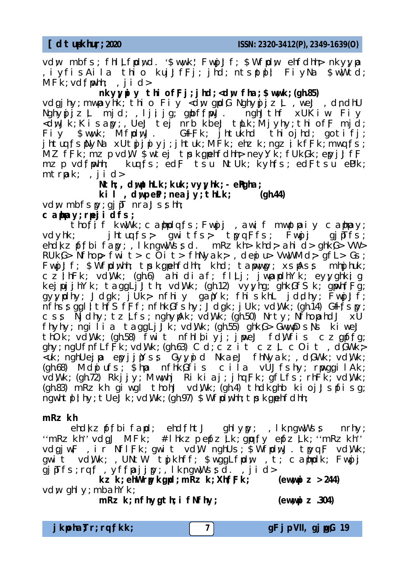vdw mbfs; fhl;Lfidwd. '\$wwk' Fwij;Jf; \$Wfidw ehfdhh; nkyyja ,iyfisAila thio kuj;JfFj; jhd; ntsptpl;l FiyNa \$w;Wtd;  $MFK$ ;  $vdfwhh$ ; , j i d>

nkyy**u** y thi of Fj; j hd; <dw fha; \$wwk; (gh.85) vdgjhy; mwpayhk; thio Fiy <dw gpdG Nghypjjz L, we;J, dndhU Nghypjjzt mjd; ljijg; gpbffwJ. nghJthf xUKiw Fiy <dwJk; Kisapy; , Ue;J tej nrb kbe;J tpLk; Mjyhy; thiofF mjd;<br>Fiv \$wwk: MfrdwJ. GfFk; ihtukhd thiojhd; gotifj; Fiy  $\frac{1}{2}$  www. MfpdwJ. Giffk; jhtukhd thiojhd; gotifj; jhtuq fspNyNa xUtnjjniyj; jhtuk; MFk; ehzk; ngz i kfFk; mwqfs; MZ fFk; mz p vdW \$wtej tpsk ;gpehfdhh ;ney;Yk; fUk,Gk; epyj;JfF mzp vd fwhh; kuq fs; ed F tsu NtUk; kyhfs; ed Ftsu eUk; mtrpak;. ,jid>

Nth; , dwpthLk; kuk; vyyhk; - engha;

 $ki$  , dwp eB; neaj  $y$ ; thLk;  $(gh.44)$ 

vdw mbfspy; gjpT nra;Jsshh;

#### **caphpay; rpe;jidfs;**

tho fi f kw, Wk; campdqfs; Fwgjj, awif mwptpaiy campay; vdyhk; jhtuqfs> qwitfs> tpyqFfs; Fwnjj qjnTfs; ehd kz pf;fbi fapy; , I kngwwssd. mRzkh> khd> ahid> ghkG> VW> RUkG> Nfhop fwit> cOit> fhNyak>, depiu> Vw;WMd> gfL> Gs; Fwn Jf; \$Wfrdwhh; tpsk gnehfdhh; khd; tapwwpy; xspAss mhpjhuk; cz!hFk; vdWk; (gh.6) ahidiaf; flLj; jwmapdhYk; eyyghkig kej  $\mu$ j j hYk; taggLj J th; vdWk; (gh.12) vyyhg; ghkGfSk; g $\mu$ nfFg;  $gyy$ jdhy; Jdgk; jUk> nfhiy gajYk; fhiskhL jddhy; Fwjj;Jf;  $n$ fhssggl ! th  $fS$  fff; nfhk  $Gf$ shy; Jdgk; jUk; vd  $Wk$ ; (gh.14)  $G+f$ spy;  $\overline{c}$  ss Njdhy; tz $\overline{L}$ fs; nghypAk; vd;Wk; (gh.50) Nrty; NfhopahdJ xU fhyhy; ngilia taggLj  $Jk$ ; vdWk; (gh.55) ghk G> GwwpDsns kiwe;J thOk; vd Wk; (gh.58) fwit nfhl biyj; jpwe;J fd W fis czgpf;fg;  $g$ hy; ngUfnfLf $\breve{F}$ k; vdWk; (gh.63) Cd; czit cz $\perp$  cOit, d  $\breve{G}$ Wk  $\geq$ <uk; nghUejpa epyjjpYss Gyypid Nkae:J fhNyak; , dGWk; vdWk;  $(gh.68)$  Mdpiufs;  $\frac{g}{h}$  me nfhk $\frac{g}{h}$  is cila vUJfshy; runggilAk;  $\overline{V}$ d $W$ k; (gh.72) Rkjj $y$ ; Mwwhj Rikiaj; jhq Fk; gfLfs; rhFk;  $\overline{V}$ vd $W$ k; (gh.83) mRz kh giwgl thohJ vd Wk; (gh.4) thd kahb kioj;Jspfisg; ngwhtpl ; hy; tUe;Jk; vd Wk; (gh.97) \$Wfpd whh; tpsk gpehfdhh;

#### mRz kh

ehd kz pffbi fapd; ehd fhtJ ghlypy; , lkngw,Wss nrhy; ''mRzkh'' vdgJ MFk; #lhkzp epfz Lk; gpqfy epfz Lk; ''mRzkh'' vdgjw;F, ir Nfl;Fk; gwit vdW nghUs; \$WfpdwJ. tpyq;F vd;Wk; qwit vd Wk; , UNt W tpj khff; \$wqqLfpdw , t; caphpdk; Fwpjj  $g$ j $p$ Tfs; rq $f$ , yf $f$ paj $j$ py; , Ikngw $W$ ssd. , jid>

 $kz$  k; ehWrpyk.gpd; mRz k; Xh;f $Fk$ ; (eww.piz> 244) vdw ghly; mbahYk;

mRz k; nfhygth; i fNfhy; (ewwpiz.304)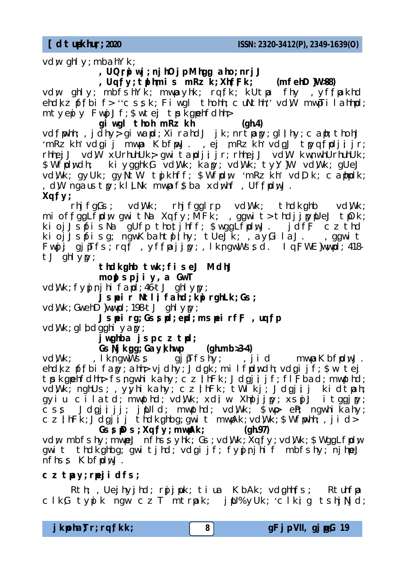**[dtup-khu ;r ; 2020** *ISSN: 2320-3412(P), 2349-1639(O)*

vdw ghly; mbahYk;

, UQrpi wj; nj hOj p Mhgg aho; nrj;J

, Uqfy; td hmis mRzk; XhfFk; (mfehD}W>88) vdw ghly; mbfshYk; mwpayhk; rqfk; kUtpa fhy ,yffpakhd  $ehdkz$   $pffbi$   $f$ > " $c$   $ssk$ ;  $Fi$   $wql$  thohh;  $c$   $uNthi$ ;  $vdW$   $mwfi$   $l$   $ahhd$ ; mtyepiy Fwpj;Jf; \$wtej tpskgpehfdhh;

**giwgl thoh mRzkh (gh.4)** vd f whh;. jdhy qiwand; XirahdJ jk; nrtpany; ql  $\frac{1}{2}$  hy; cant; thohJ 'mRzkh' vdgij mwpa KbfpwJ., ej mRzkh' vdgJ tpyqfpdjijr; rhhej J vd W xUrhuhUk ; gwitapdjijr; rhhej J vd W kwnwhUrhuhUk; \$Wfpdwdh; kiygghkG vdWk; kapy; vdWk; tyY}W vdWk; qUe;J vd Wk; gyUk; gy Nt W tpj khff; \$Wfd w 'mRz kh' vd;Dk; canndk; , dW ngaustpy; kl LNk mwpaf\$ba xdwhf, UffpdwJ. **Xq ;fy;**

rhjfg;Gs; vd;Wk; rhjfg;glrp vd;Wk; thdkghb vd;Wk; mi offggLfpdw gwitNa Xqfy; MFk; , ggwit> thdjjpypUe;J tpOk; kioj;JspfisNa gUfp thotjhff; \$wggLfpdwJ. jdfF czthd kioj;Jspfisg; ngwKbahtplihy; tUe;Jk; ,ayGilaJ. ,ggwit Fwpjj gjpTfs; rqf , yffpajjpy; , IkngwWssd. Iq FWE}wwpd; 418tJ ghlypy;

# thdkghb twk; fise;J MdhJ

**mopJsp jiy,a GwT**

vd Wk; fypinjhi fapd; 46-tJ ghlypy;

**Jspeir Ntl ;ifahd ; kpirghLk ; Gs;**

vd Wk; GwehD }wwnd; 198-t J ghl yny;

**Jspeirg; Gsspd; epd; mspeirff, uqfp** vdWk; gl bdgghi yapy;

j wghba j sp cz tpd;

## **Gs;Njk ;gg; Gay;khwp (gh.mb>.3-4)**

vd Wk; , Ikngw Wss gjpTfshy; , jid mwpaKbfpdwJ. ehd kz pffbi fapy; ahh vjdhy; Jdgk; milfpdwdh; vdgijf; \$w te ;j trsk quehfdhh; fsngwhikahy; czjhFk; Jdgjijf; fl Fbad; mwpthd; vd WK; nghUs; , yyhi kahy; cz;lhFk; tWikj; Jdgjij kidtpah; gyiu cilatd; mwpthd; vd, Wk; xdiw Xhpljjpy; xspj.J itggjpy; css Jdgjijj; jpUld; mwpthd; vd\Wk; \$wp eh; ngwhikahy; czihFk;Jdgjij thdkghbg;gwit mwpAk;vd\Wk;\$Wfpwhh;,jid>

**GssiDs; Xqfy; mwpAk; (gh.97)** vdw mbfshy; mwpe;J nfhssyhk; Gs; vd.Wk; Xq;fy; vd.Wk; \$WggLfpdw gwit thdk ghbg; gwitjhd; vdgijf; fynjnjhif mbfshy; njhpe;J nfhss KbfrdwJ.

## **cztpay; rpe;jidfs;**

Rth; ,Uejhyjhd; r $\mathfrak y$ jµk; tiua KbAk; vdghhfs;. Rtuhfpa  $C$ lk Gtypik ngw cz $T$  mtr $a$ k; inU%yUk; 'clkig tshiNid;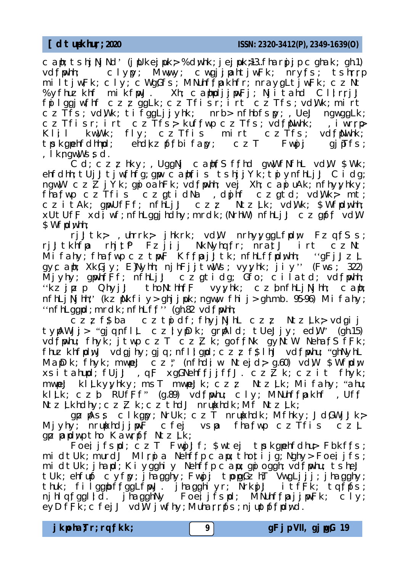caph; tsh ;j;NjNd' (jpUke;jpuk ;> %d ;whk ; je;jpuk ;>13..fharpj;jp cghak ;. gh.1) clypy; Mwwy; cwgjjpahtjw;Fk; nry;fs; tshrrp miltjw;Fk; cly; cWgGfs; MNuhffpakhfr; nraygLtjw;Fk; czNt %yfhuz khf mikf $wy$ J. Xh; caphpdjj $wy$ Fj; Njitahd Clirrj;J  $f$ pilggjw;fhf czzggLk; czTfisr; irt czTfs; vd,Wk; mirt czTfs; vdWk; tifggLjjyhk; nrb> nfhbfspy; , UeJ ngwggLk; czTfisr; irt czTfs> kuffwp czTfs; vdfMwhk; iwrrp Klil kw, Wk; fly; czTfis mirt czTfs; vd;fpNwhk; tpsk ;gpehfdhhpd; ehd;kzpf;fbifapy; czT Fwpjj gjpTfs; , I kngwWssd.

 $CG$ ; czzhky; , UggNj caph  $fS$  ffhd gwwfNfhL vd W \$Wk; ehfdhh; tUj;Jtjw;fhfg; gpw caph fis tsh jjYk; tpiynfhLj;J Cidg; ngw;W cz<sup>7</sup>ZjYk; gpioahFk; vd fpwhh; vej Xh; capiuAk; nfhyyhky;  $f$ ha;fwp cz $Tf$ is cz $gt$ idNa ,dpjhf cz $gt$ d; vd Wk mt;  $czi$  tAk; gwUfFf; nfhLj $J$   $czz$  Ntz Lk; vdWk; \$Wfpdwhh;  $xUtUf$ F xdi wf; nfhLggi hdhy; mrdk; (NrhW) nfhLj $J$  czgpff vd W \$Wfrdwhh:

 $r$ j $J$ tk ; uhrrk i hkrk; vd $W$  nrhy $y$ ggLf $p$ dw FzqfSs; rj;Jtkhfpa rhj;tlf Fzjij NkNyhqfr; nratJ irt czNt Mi fahy; fhafwp cztpw;F Kffpaj;Jtk; nfhLf;fpdwhh; 'gFj;Jz $\perp$  $gyc$  aph; Xk $Gjy$ ; E}Nyhh; njhFjjtw;Ws; vy;yhk; jiy'' (Fws; 322) Mjyhy; gpwh;f;Ff; nfhLj;J czgtidg; Gfo; cilatd; vd;fpwhh; "kzjpzp Qhyj;J tho Nthh fF vyyhk; cz;bnfhLj Njhh; caph; nfhLj Nj hh;' (kz pNkfi y> ghj j puk; ngww fhi j > gh.mb. 95-96) Mi fahy;  $'$ 'nfhLggpd; mrdk; nfhLff'' (gh.82 vdfpwhh;

czzf\$ba cztpidf; fhyjNjhL czz NtzLk> vdgij typAWjj> "gjqnflL cziypDk; grpAld; tUe;Jjy; ed\W" (gh.15) vd f whu; fhyk; jtwp czT czZ k; goffNk gyNtW NehafSfFk; fhuz khfpdwJ vdgjhy; gjq; nfl ! gpd; czzf\$lhJ vd fpwhu; "ghNyhL MapDk; fhyk; mwpe;J cz;" (nfhdi w Ntejd ; g.60) vd W \$Wfrdw xsitahupd; fUj;J, qF xgGNehffjjffJ. czŽk; czit fhyk; mwpe;J kl Lky;yhky; msT mwpe;Jk; czz Ntz Lk; Mifahy; "ahu; klik  $czb$  RUfFf" (g.89) vd f whu;  $c$ ly; MNuhffmakhf , Uff  $N$ tz $L$ khdhy; cz $Z$ k; cz $\overline{L}$ thdJ nrunkhdk; Mf Ntz $L$ k;

 $gyz$   $\widetilde{P}$   $\widetilde{S}$   $\widetilde{S}$  clkgpy; NrUk; czT nrupkhdk; Mfhky; Jd $GW$ j;Jk  $\ge$  $M$ jyhy; nrupkhdj $j$ pw $\widetilde{F}$  cfej vspa fhafwn cz $\widetilde{T}$ fis cz $L$ goz papdwo tho Kawroff Ntz Lk:

Foeijfspd; czT FwnjJf; \$wtej tpskgpehfdhu> Fbkf;fs; midtUk; murdJ Mlrnia Nehffp capu; thotijg; Nghy> Foeijfs; midtUk; jhapd; Kiygghiy Nehffp capu; gpioggh; vdfpwhu; tsheJ tUk; ehfupf cyfpy; jhagghy; Fwgjj tpogGzhT VwgLjjj; jhagghy; thuk; filggpbffggLfpwJ. jhagghiyr; NrknjJ itfFk; tqfpfs; nj hlqfggl id. jňagghNy Foeij i fspd; MNuhffpaj i wFk; cly; eyDfFK; cfej J vdW j wfhy; Muharrpfs; nj uptpffpdwd.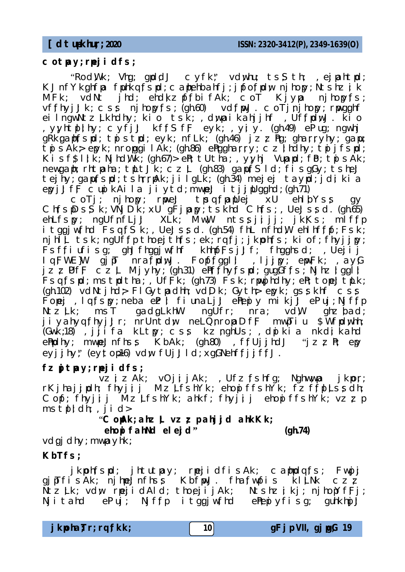#### **cotpay; rpe;jidfs;**

"Rod Wk; Vha; gpd  $dJ$  cyfk" vd whu; ts $S$  th; , eightpd; KJnfYkghfpa fuhkq;fspd; caphehbahfj; jpfo fpdw njhopy; Ntshzik  $MFK$ ; vdNt jhd; ehd $kz$  pffbifAk; coT Kjypa njhopy;fs;  $v$ ffhyj $J$ k;  $\overline{c}$ ss njhopyfs; (gh.60) vd f $wJ$ .  $\overline{c}$  oTj $n$ jhopy; r $w$ gghf eilngwNtz Lkhdhy; kio tsk; , dwpaikahjjhf , UffpdwJ. kio ,yyhtplihy; cyfj:J kffSfF eyk; ,yiy. (gh.49) ePiug; ngwhj gRkganfspd; tpistpd; eyk; nfLk; (gh.46) jzz hg; gharryhy; gapu;  $t$ pi sAk epyk; nropgilAk; (gh.86) enggharry; czindhy;  $t$ pijfspd; Kisf $\frac{1}{\pi}$ l  $k$ ; Njhd  $\frac{W}{k}$ ; (gh.67)> en; tUtha; , y;yhj Vupapd; fb; tpisAk; newgaph; rhtpaha; tpLtJk;  $czL$  (gh.83) gapuresid; fisgGy; tshey tej hy; gapufspd; tshrrpAk; jilgLk; (gh.34) mejej taypd; jdi kia epyj;Jf $F$  cupikAila jiytd; mwne;J itj;jnUgghd; (gh.71)

coTj; njhopy; rpwe;J tpsq fpapUej xU ehlbYss gy ChfspDsSk; VNjDK; xU gFjpapy; tskhd Chfs; , UeJssd. (gh.65) ehLfspy; ngUfnfLj;J XLk; MwW ntssjijj; jk;Ks; mlffp itggjw;fhd Fsq;fŠk;, Ue;Jssd. (gh.54) fhL nfhdW ehlhf;fpf; Fsk;  $n$ jhl $L$  tsk; ngUffp tho ej th fs; ek  $r$ q fj; jkpoh fs; ki of; fhyjjpy; Fsffiufisg; ghJfhggjwfhf khhpfFsjJf; fhgghsd; ,Uejij Iq ;FWE}W gjpT nra;fpd;wJ. Fopf;fg;gl ;l ,lj;jpy; epw;Fk ; ,ay;G  $j \,$ z $\,$  UfF  $\,$   $\sim$   $\,$   $\,$   $\sim$   $\,$   $\,$   $\sim$   $\,$   $\,$   $\sim$   $\,$   $\,$   $\sim$   $\,$   $\sim$   $\,$   $\sim$   $\,$   $\sim$   $\,$   $\sim$   $\,$   $\sim$   $\,$   $\sim$   $\,$   $\sim$   $\,$   $\sim$   $\,$   $\sim$   $\,$   $\sim$   $\,$   $\sim$   $\,$   $\sim$   $\,$   $\sim$   $\,$  Fsq fspd; mstpdtha; , UfFk; (gh.73) Fsk; rpwpj hdhy; en; tope;JtpLk; (gh.102) vdNtjhd> FlGytpadhh; vdDk; Gyth> epyk; gsskhf css Fopej, lq $f$ spy; neba e $E$ ; fiunaLj;J enepiy mikj;J eniuj; Njf $f$ p Ntz Lk; msT gadgLkhW ngUfr; nra; vdW ghz;bad; jiyahyq fhyj:Jr; nrUntdw neLQnropaDfF mwpTiu \$Wfpdwhh; (Gwk;18), jjifa kLtpy; css kz nghUs; , dnikia nkdi kahd ePhpdhy; mwne;Jnfhss KbAk; (gh.80), ffUjjhdJ "jzzPr; epy eyjjhy;" (eytop16) vdw fUjJld xgGNehffjjffJ.

## fz**gitpay; rpejidfs;**

vzizAk; vOjijAk; ,Ufzfshfg; Nghwwpa jkpor; rKjhajjpdh; fhyjjj MzLfshYk; ehopiffshYk; fzffplLssdh; Copf; fhyjij MzLfshYk; ahkf; fhyjij ehopiffshYk; vzzp  $mst$ ,  $dl$ ;  $dl$ ;  $dl$ ;  $dl$ 

"**CopAk ; ahz;L vz;zp ahj;jd ahkKk;**

**ehopifahNd ele;jd" (gh.74)**

vdgi dhy; mwpayhk;

## **KbTfs;**

jkpoh;fspd; jhtutpay; rpejidfisAk; caphpdq;fs; Fwnjj gjpTfisAk; njhpe;Jnfhss KbfwJ. fha;fwmfis kltNk czz  $\texttt{Ntz}$  Lk; vdw rpe;idAld; tho e;ijAk; Ntshzikj; njhopYfFj;  $Nj$  i tahd ePiuj;  $Nj$  ffp i tggjw;fhd ePhepiyfisg; guhkhpj $J$ 

**jkpoha;Tr ; rq ;fkk ; 10 gFjp VII, gjpg;G 19**